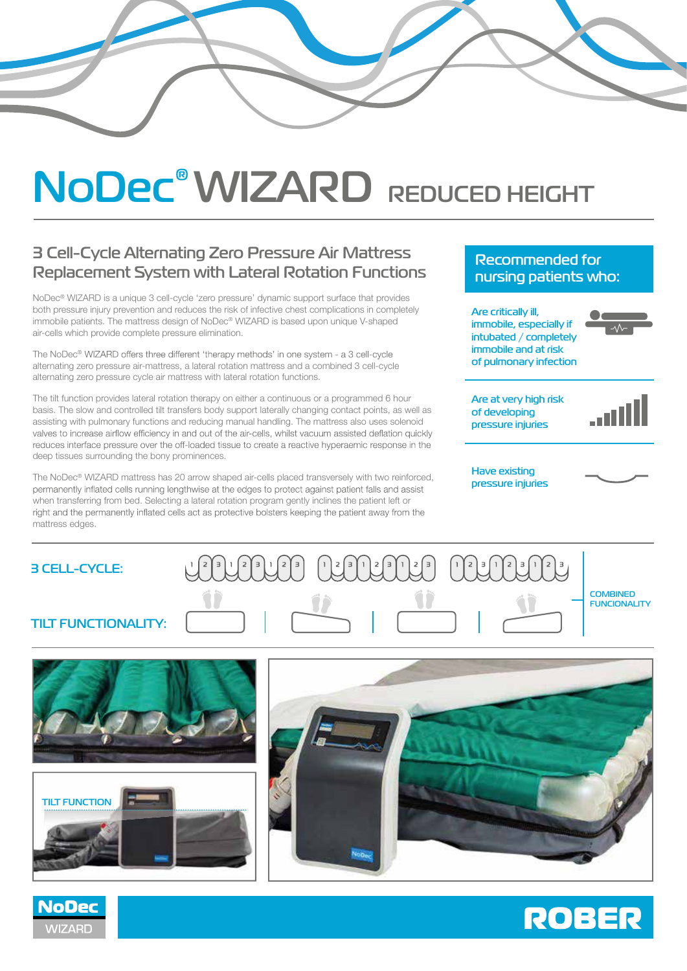# **NoDec® WIZARD REDUCED HEIGHT**

# **3 Cell-Cycle Alternating Zero Pressure Air Mattress Replacement System with Lateral Rotation Functions**

NoDec® WIZARD is a unique 3 cell-cycle 'zero pressure' dynamic support surface that provides both pressure injury prevention and reduces the risk of infective chest complications in completely immobile patients. The mattress design of NoDec® WIZARD is based upon unique V-shaped air-cells which provide complete pressure elimination.

The NoDec® WIZARD offers three different 'therapy methods' in one system - a 3 cell-cycle alternating zero pressure air-mattress, a lateral rotation mattress and a combined 3 cell-cycle alternating zero pressure cycle air mattress with lateral rotation functions.

The tilt function provides lateral rotation therapy on either a continuous or a programmed 6 hour basis. The slow and controlled tilt transfers body support laterally changing contact points, as well as assisting with pulmonary functions and reducing manual handling. The mattress also uses solenoid valves to increase airflow efficiency in and out of the air-cells, whilst vacuum assisted deflation quickly reduces interface pressure over the off-loaded tissue to create a reactive hyperaemic response in the deep tissues surrounding the bony prominences.

The NoDec® WIZARD mattress has 20 arrow shaped air-cells placed transversely with two reinforced, permanently inflated cells running lengthwise at the edges to protect against patient falls and assist when transferring from bed. Selecting a lateral rotation program gently inclines the patient left or<br>right and the permanently inflated cells act as protective bolsters keeping the patient away from the mattress edges.

## **Recommended for nursing patients who:**

**Are critically ill, immobile, especially if intubated / completely immobile and at risk of pulmonary infection**

**Are at very high risk of developing pressure injuries**



**Have existing pressure injuries**